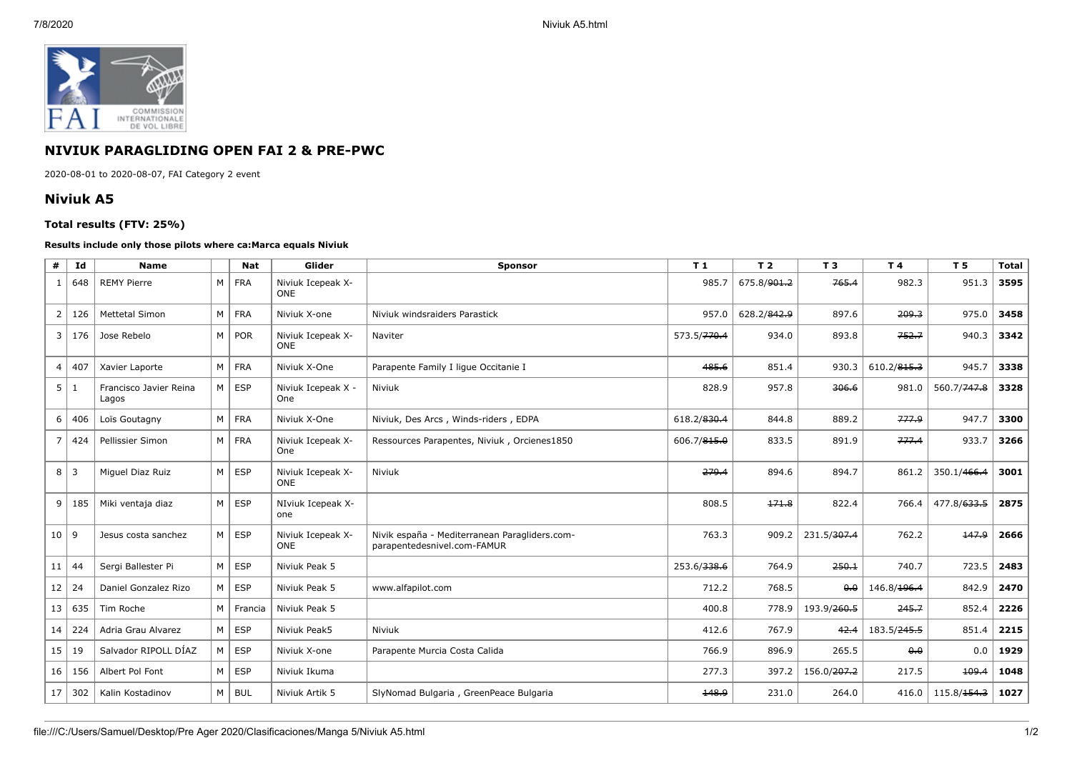

## **NIVIUK PARAGLIDING OPEN FAI 2 & PRE-PWC**

2020-08-01 to 2020-08-07, FAI Category 2 event

## **Niviuk A5**

## **Total results (FTV: 25%)**

## **Results include only those pilots where ca:Marca equals Niviuk**

| #              | Id  | <b>Name</b>                     |   | <b>Nat</b> | Glider                          | Sponsor                                                                      | T1                      | T <sub>2</sub>          | T <sub>3</sub>          | T 4                 | T <sub>5</sub>          | <b>Total</b> |
|----------------|-----|---------------------------------|---|------------|---------------------------------|------------------------------------------------------------------------------|-------------------------|-------------------------|-------------------------|---------------------|-------------------------|--------------|
| 1              | 648 | <b>REMY Pierre</b>              | M | <b>FRA</b> | Niviuk Icepeak X-<br><b>ONE</b> |                                                                              | 985.7                   | 675.8/ <del>901.2</del> | 765.4                   | 982.3               | 951.3                   | 3595         |
| $\overline{2}$ | 126 | <b>Mettetal Simon</b>           | M | <b>FRA</b> | Niviuk X-one                    | Niviuk windsraiders Parastick                                                | 957.0                   | 628.2/842.9             | 897.6                   | 209.3               | 975.0                   | 3458         |
| 3              | 176 | Jose Rebelo                     | M | <b>POR</b> | Niviuk Icepeak X-<br><b>ONE</b> | Naviter                                                                      | 573.5/ <del>770.4</del> | 934.0                   | 893.8                   | 752.7               | 940.3                   | 3342         |
| 4              | 407 | Xavier Laporte                  | M | <b>FRA</b> | Niviuk X-One                    | Parapente Family I lique Occitanie I                                         | 485.6                   | 851.4                   | 930.3                   | 610.2/815.3         | 945.7                   | 3338         |
| 5              | 1   | Francisco Javier Reina<br>Lagos | M | <b>ESP</b> | Niviuk Icepeak X -<br>One       | Niviuk                                                                       | 828.9                   | 957.8                   | 306.6                   | 981.0               | 560.7/747.8             | 3328         |
| 6              | 406 | Loïs Goutagny                   | M | <b>FRA</b> | Niviuk X-One                    | Niviuk, Des Arcs, Winds-riders, EDPA                                         | 618.2/830.4             | 844.8                   | 889.2                   | 777.9               | 947.7                   | 3300         |
| $\overline{7}$ | 424 | Pellissier Simon                | M | <b>FRA</b> | Niviuk Icepeak X-<br>One        | Ressources Parapentes, Niviuk, Orcienes1850                                  | 606.7/815.0             | 833.5                   | 891.9                   | 777.4               | 933.7                   | 3266         |
| 8              | l 3 | Miquel Diaz Ruiz                | M | <b>ESP</b> | Niviuk Icepeak X-<br><b>ONE</b> | Niviuk                                                                       | 279.4                   | 894.6                   | 894.7                   | 861.2               | 350.1/466.4             | 3001         |
| 9              | 185 | Miki ventaja diaz               | M | <b>ESP</b> | NIviuk Icepeak X-<br>one        |                                                                              | 808.5                   | 171.8                   | 822.4                   | 766.4               | 477.8/633.5             | 2875         |
| $10$   9       |     | Jesus costa sanchez             | M | <b>ESP</b> | Niviuk Icepeak X-<br><b>ONE</b> | Nivik españa - Mediterranean Paragliders.com-<br>parapentedesnivel.com-FAMUR | 763.3                   | 909.2                   | 231.5/307.4             | 762.2               | 147.9                   | 2666         |
| 11             | 44  | Sergi Ballester Pi              | M | <b>ESP</b> | Niviuk Peak 5                   |                                                                              | 253.6/338.6             | 764.9                   | 250.1                   | 740.7               | 723.5                   | 2483         |
| 12             | 24  | Daniel Gonzalez Rizo            | M | <b>ESP</b> | Niviuk Peak 5                   | www.alfapilot.com                                                            | 712.2                   | 768.5                   | 0.0                     | 146.8/196.4         | 842.9                   | 2470         |
| 13             | 635 | Tim Roche                       | M | Francia    | Niviuk Peak 5                   |                                                                              | 400.8                   | 778.9                   | 193.9/260.5             | 245.7               | 852.4                   | 2226         |
| 14             | 224 | Adria Grau Alvarez              | M | <b>ESP</b> | Niviuk Peak5                    | Niviuk                                                                       | 412.6                   | 767.9                   | 42.4                    | 183.5/245.5         | 851.4                   | 2215         |
| 15             | 19  | Salvador RIPOLL DÍAZ            | M | <b>ESP</b> | Niviuk X-one                    | Parapente Murcia Costa Calida                                                | 766.9                   | 896.9                   | 265.5                   | $\theta$ . $\theta$ | 0.0                     | 1929         |
| 16             | 156 | Albert Pol Font                 | M | <b>ESP</b> | Niviuk Ikuma                    |                                                                              | 277.3                   | 397.2                   | 156.0/ <del>207.2</del> | 217.5               | 109.4                   | 1048         |
| 17             | 302 | Kalin Kostadinov                | M | <b>BUL</b> | Niviuk Artik 5                  | SlyNomad Bulgaria, GreenPeace Bulgaria                                       | 148.9                   | 231.0                   | 264.0                   | 416.0               | 115.8/ <del>154.3</del> | 1027         |